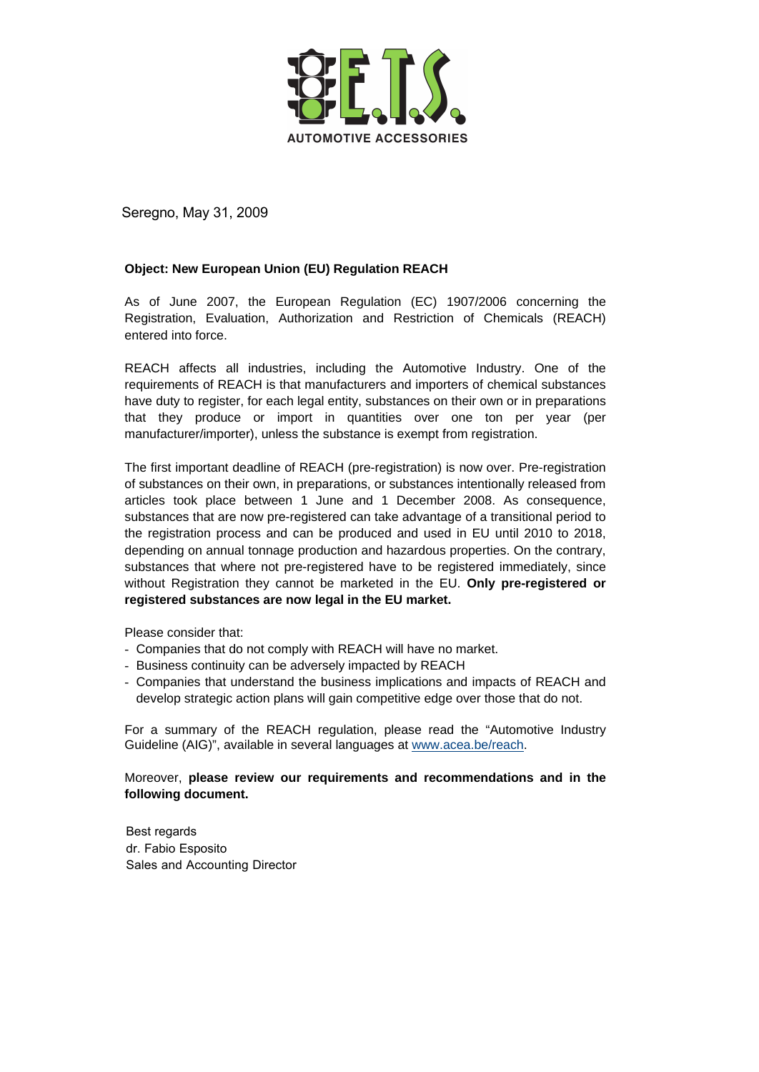

Seregno, May 31, 2009

## **Object: New European Union (EU) Regulation REACH**

As of June 2007, the European Regulation (EC) 1907/2006 concerning the Registration, Evaluation, Authorization and Restriction of Chemicals (REACH) entered into force.

REACH affects all industries, including the Automotive Industry. One of the requirements of REACH is that manufacturers and importers of chemical substances have duty to register, for each legal entity, substances on their own or in preparations that they produce or import in quantities over one ton per year (per manufacturer/importer), unless the substance is exempt from registration.

The first important deadline of REACH (pre-registration) is now over. Pre-registration of substances on their own, in preparations, or substances intentionally released from articles took place between 1 June and 1 December 2008. As consequence, substances that are now pre-registered can take advantage of a transitional period to the registration process and can be produced and used in EU until 2010 to 2018, depending on annual tonnage production and hazardous properties. On the contrary, substances that where not pre-registered have to be registered immediately, since without Registration they cannot be marketed in the EU. **Only pre-registered or registered substances are now legal in the EU market.** 

Please consider that:

- Companies that do not comply with REACH will have no market.
- Business continuity can be adversely impacted by REACH
- Companies that understand the business implications and impacts of REACH and develop strategic action plans will gain competitive edge over those that do not.

For a summary of the REACH regulation, please read the "Automotive Industry Guideline (AIG)", available in several languages at www.acea.be/reach.

## Moreover, **please review our requirements and recommendations and in the following document.**

Best regards dr. Fabio Esposito Sales and Accounting Director